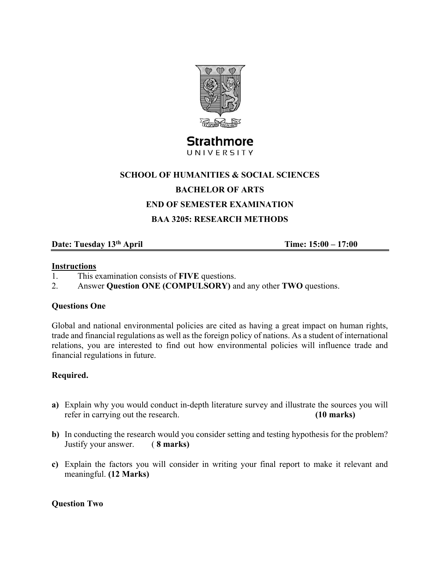

# Strathmore UNIVERSITY

## **SCHOOL OF HUMANITIES & SOCIAL SCIENCES**

## **BACHELOR OF ARTS**

## **END OF SEMESTER EXAMINATION**

## **BAA 3205: RESEARCH METHODS**

# **Date: Tuesday 13<sup>th</sup> April 15:00 – 17:00 Time: 15:00 – 17:00**

#### **Instructions**

- 1. This examination consists of **FIVE** questions.
- 2. Answer **Question ONE (COMPULSORY)** and any other **TWO** questions.

#### **Questions One**

Global and national environmental policies are cited as having a great impact on human rights, trade and financial regulations as well as the foreign policy of nations. As a student of international relations, you are interested to find out how environmental policies will influence trade and financial regulations in future.

## **Required.**

- **a)** Explain why you would conduct in-depth literature survey and illustrate the sources you will refer in carrying out the research. **(10 marks)**
- **b)** In conducting the research would you consider setting and testing hypothesis for the problem? Justify your answer. ( **8 marks)**
- **c)** Explain the factors you will consider in writing your final report to make it relevant and meaningful. **(12 Marks)**

#### **Question Two**